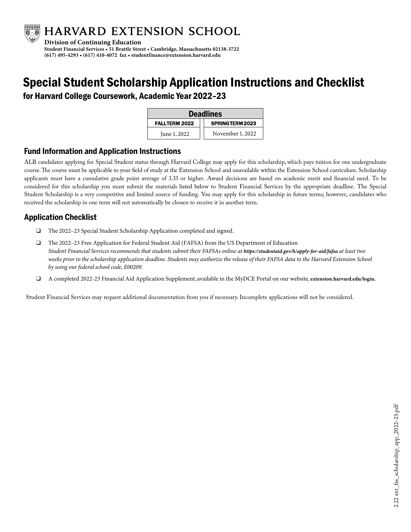

## Special Student Scholarship Application Instructions and Checklist

for Harvard College Coursework, Academic Year 2022–23

| <b>Deadlines</b>     |                  |  |
|----------------------|------------------|--|
| <b>FALLTERM 2022</b> | SPRINGTERM 2023  |  |
| June 1, 2022         | November 1, 2022 |  |

## **Fund Information and Application Instructions**

ALB candidates applying for Special Student status through Harvard College may apply for this scholarship, which pays tuition for one undergraduate course. The course must be applicable to your field of study at the Extension School and unavailable within the Extension School curriculum. Scholarship applicants must have a cumulative grade point average of 3.33 or higher. Award decisions are based on academic merit and financial need. To be considered for this scholarship you must submit the materials listed below to Student Financial Services by the appropriate deadline. The Special Student Scholarship is a very competitive and limited source of funding. You may apply for this scholarship in future terms; however, candidates who received the scholarship in one term will not automatically be chosen to receive it in another term.

## **Application Checklist**

- ❑ The 2022–23 Special Student Scholarship Application completed and signed.
- ❑ The 2022–23 Free Application for Federal Student Aid (FAFSA) from the US Department of Education *Student Financial Services recommends that students submit their FAFSAs online at https://studentaid.gov/h/apply-for-aid/fafsa at least two weeks prior to the scholarship application deadline. Students may authorize the release of their FAFSA data to the Harvard Extension School by using our federal school code, E00209.*
- ❑ A completed 2022-23 Financial Aid Application Supplement, available in the MyDCE Portal on our website, **extension.harvard.edu/login.**

Student Financial Services may request additional documentation from you if necessary. Incomplete applications will not be considered.